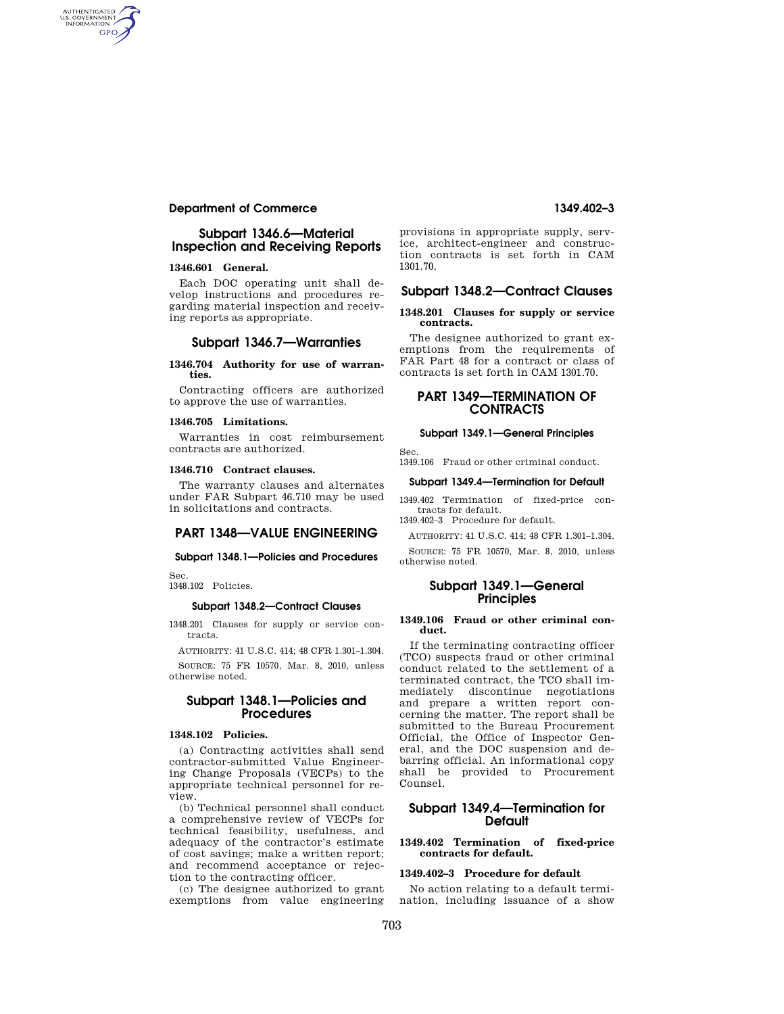# **Department of Commerce 1349.402–3**

# **Subpart 1346.6—Material Inspection and Receiving Reports**

## **1346.601 General.**

AUTHENTICATED<br>U.S. GOVERNMENT<br>INFORMATION GPO

> Each DOC operating unit shall develop instructions and procedures regarding material inspection and receiving reports as appropriate.

## **Subpart 1346.7—Warranties**

#### **1346.704 Authority for use of warranties.**

Contracting officers are authorized to approve the use of warranties.

## **1346.705 Limitations.**

Warranties in cost reimbursement contracts are authorized.

### **1346.710 Contract clauses.**

The warranty clauses and alternates under FAR Subpart 46.710 may be used in solicitations and contracts.

## **PART 1348—VALUE ENGINEERING**

#### **Subpart 1348.1—Policies and Procedures**

Sec. 1348.102 Policies.

# **Subpart 1348.2—Contract Clauses**

1348.201 Clauses for supply or service contracts.

AUTHORITY: 41 U.S.C. 414; 48 CFR 1.301–1.304. SOURCE: 75 FR 10570, Mar. 8, 2010, unless otherwise noted.

## **Subpart 1348.1—Policies and Procedures**

## **1348.102 Policies.**

(a) Contracting activities shall send contractor-submitted Value Engineering Change Proposals (VECPs) to the appropriate technical personnel for review.

(b) Technical personnel shall conduct a comprehensive review of VECPs for technical feasibility, usefulness, and adequacy of the contractor's estimate of cost savings; make a written report; and recommend acceptance or rejection to the contracting officer.

(c) The designee authorized to grant exemptions from value engineering provisions in appropriate supply, service, architect-engineer and construction contracts is set forth in CAM 1301.70.

# **Subpart 1348.2—Contract Clauses**

### **1348.201 Clauses for supply or service contracts.**

The designee authorized to grant exemptions from the requirements of FAR Part 48 for a contract or class of contracts is set forth in CAM 1301.70.

# **PART 1349—TERMINATION OF CONTRACTS**

# **Subpart 1349.1—General Principles**

Sec. 1349.106 Fraud or other criminal conduct.

#### **Subpart 1349.4—Termination for Default**

1349.402 Termination of fixed-price contracts for default.

1349.402–3 Procedure for default.

AUTHORITY: 41 U.S.C. 414; 48 CFR 1.301–1.304.

SOURCE: 75 FR 10570, Mar. 8, 2010, unless otherwise noted.

## **Subpart 1349.1—General Principles**

#### **1349.106 Fraud or other criminal conduct.**

If the terminating contracting officer (TCO) suspects fraud or other criminal conduct related to the settlement of a terminated contract, the TCO shall immediately discontinue negotiations and prepare a written report concerning the matter. The report shall be submitted to the Bureau Procurement Official, the Office of Inspector General, and the DOC suspension and debarring official. An informational copy shall be provided to Procurement Counsel.

# **Subpart 1349.4—Termination for Default**

#### **1349.402 Termination of fixed-price contracts for default.**

## **1349.402–3 Procedure for default**

No action relating to a default termination, including issuance of a show